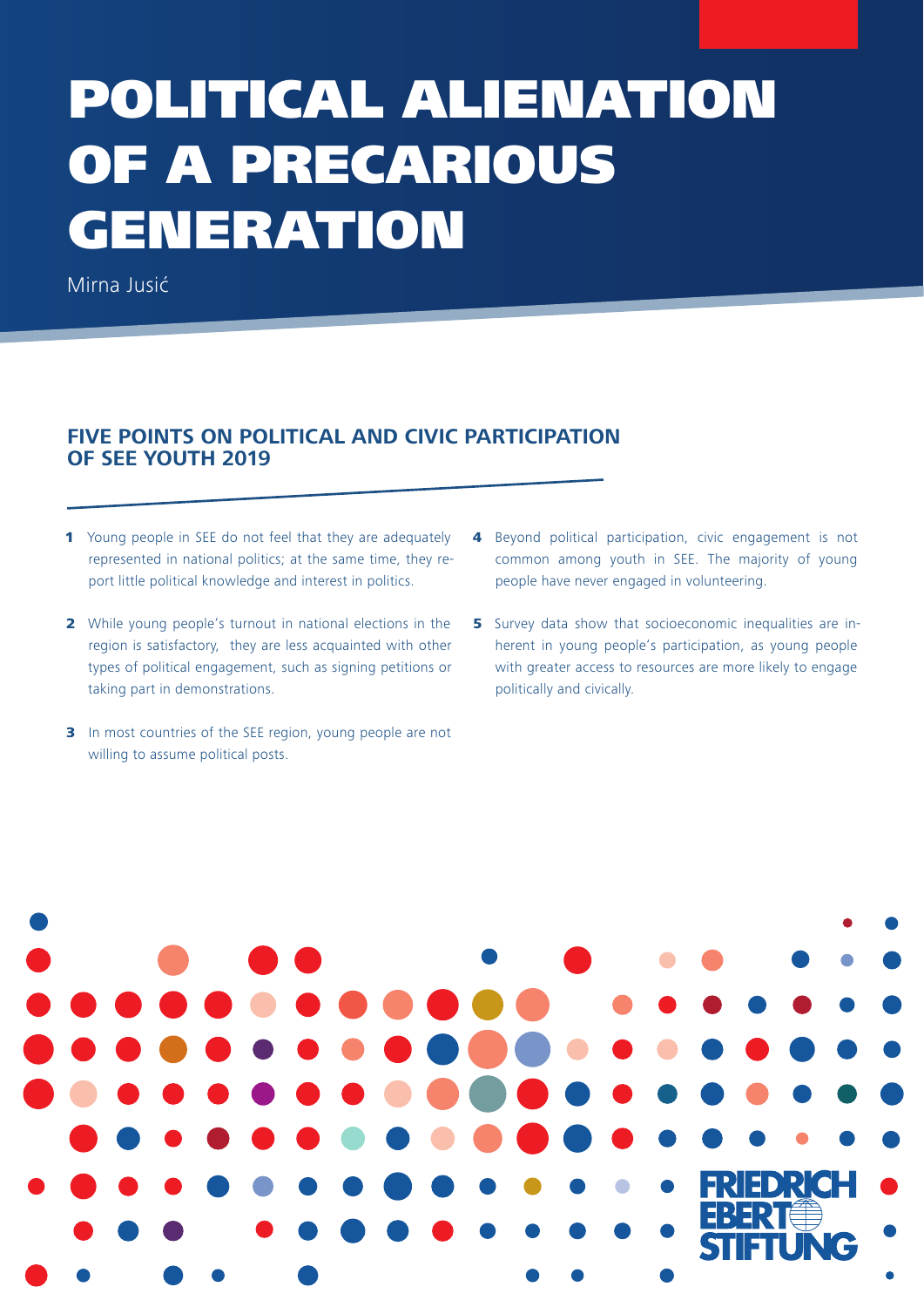# POLITICAL ALIENATION OF A PRECARIOUS GENERATION

Mirna Jusić

## **FIVE POINTS ON POLITICAL AND CIVIC PARTICIPATION OF SEE YOUTH 2019**

- 1 Young people in SEE do not feel that they are adequately represented in national politics; at the same time, they report little political knowledge and interest in politics.
- 2 While young people's turnout in national elections in the region is satisfactory, they are less acquainted with other types of political engagement, such as signing petitions or taking part in demonstrations.
- **3** In most countries of the SEE region, young people are not willing to assume political posts.
- 4 Beyond political participation, civic engagement is not common among youth in SEE. The majority of young people have never engaged in volunteering.
- 5 Survey data show that socioeconomic inequalities are inherent in young people's participation, as young people with greater access to resources are more likely to engage politically and civically.

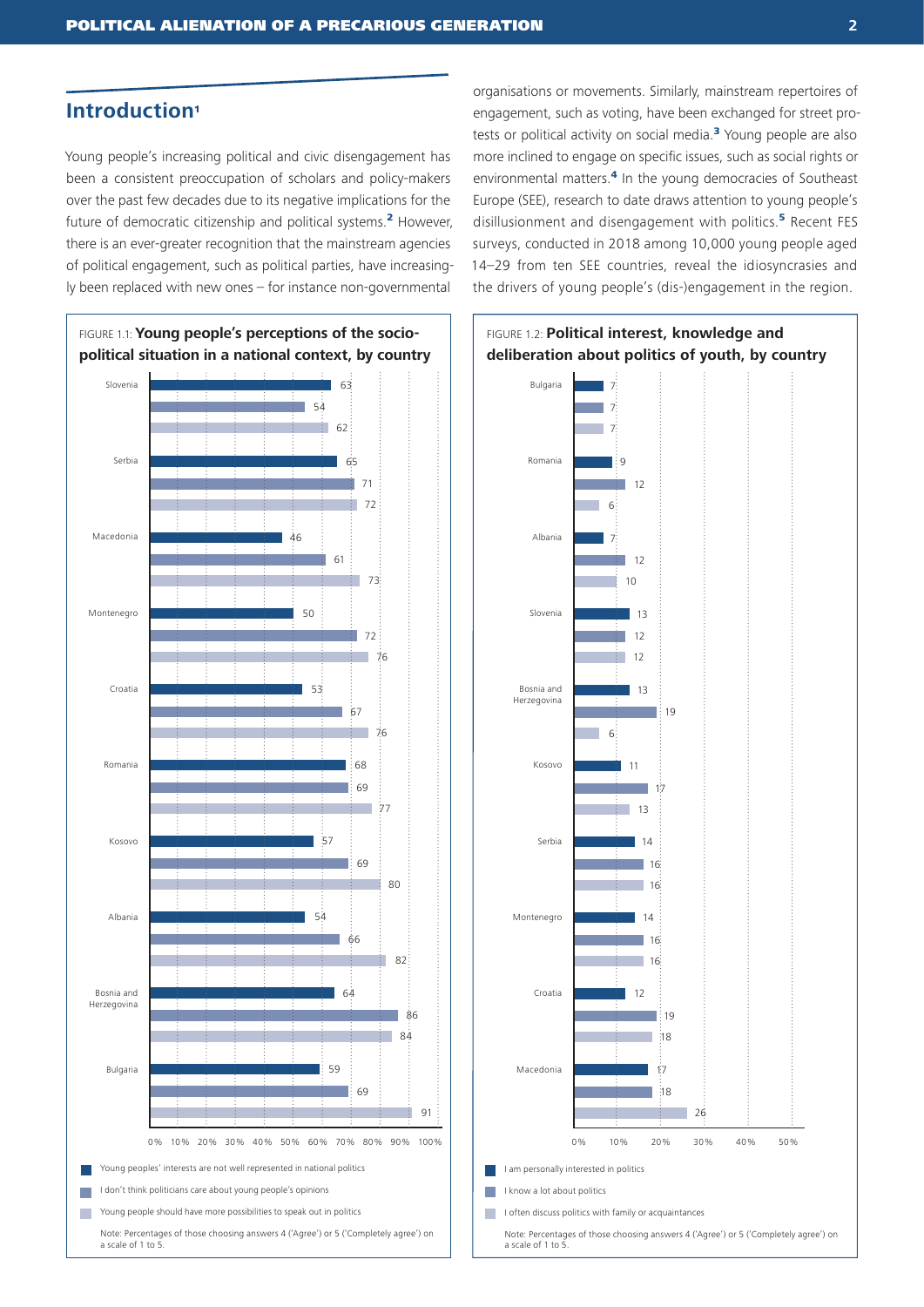## **Introduction**<sup>1</sup>

Young people's increasing political and civic disengagement has been a consistent preoccupation of scholars and policy-makers over the past few decades due to its negative implications for the future of democratic citizenship and political systems.<sup>2</sup> However, there is an ever-greater recognition that the mainstream agencies of political engagement, such as political parties, have increasingly been replaced with new ones – for instance non-governmental



organisations or movements. Similarly, mainstream repertoires of engagement, such as voting, have been exchanged for street protests or political activity on social media.<sup>3</sup> Young people are also more inclined to engage on specific issues, such as social rights or environmental matters.<sup>4</sup> In the young democracies of Southeast Europe (SEE), research to date draws attention to young people's disillusionment and disengagement with politics.<sup>5</sup> Recent FES surveys, conducted in 2018 among 10,000 young people aged 14–29 from ten SEE countries, reveal the idiosyncrasies and the drivers of young people's (dis-)engagement in the region.

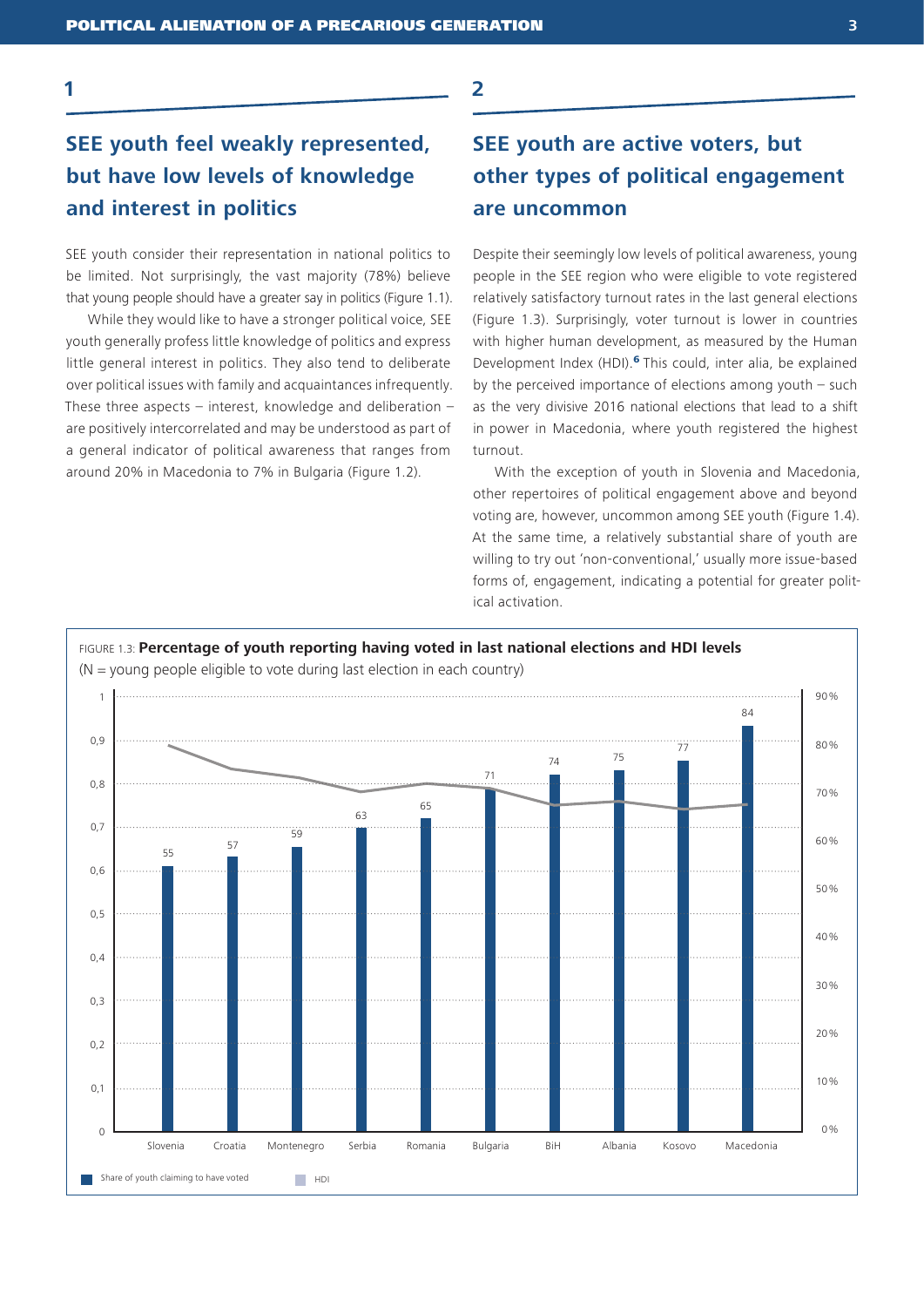**1**

## **SEE youth feel weakly represented, but have low levels of knowledge and interest in politics**

SEE youth consider their representation in national politics to be limited. Not surprisingly, the vast majority (78%) believe that young people should have a greater say in politics (Figure 1.1).

While they would like to have a stronger political voice, SEE youth generally profess little knowledge of politics and express little general interest in politics. They also tend to deliberate over political issues with family and acquaintances infrequently. These three aspects – interest, knowledge and deliberation – are positively intercorrelated and may be understood as part of a general indicator of political awareness that ranges from around 20% in Macedonia to 7% in Bulgaria (Figure 1.2).

## **SEE youth are active voters, but other types of political engagement**

#### **are uncommon**

**2**

Despite their seemingly low levels of political awareness, young people in the SEE region who were eligible to vote registered relatively satisfactory turnout rates in the last general elections (Figure 1.3). Surprisingly, voter turnout is lower in countries with higher human development, as measured by the Human Development Index (HDI).<sup>6</sup> This could, inter alia, be explained by the perceived importance of elections among youth – such as the very divisive 2016 national elections that lead to a shift in power in Macedonia, where youth registered the highest turnout.

With the exception of youth in Slovenia and Macedonia, other repertoires of political engagement above and beyond voting are, however, uncommon among SEE youth (Figure 1.4). At the same time, a relatively substantial share of youth are willing to try out 'non-conventional,' usually more issue-based forms of, engagement, indicating a potential for greater political activation.

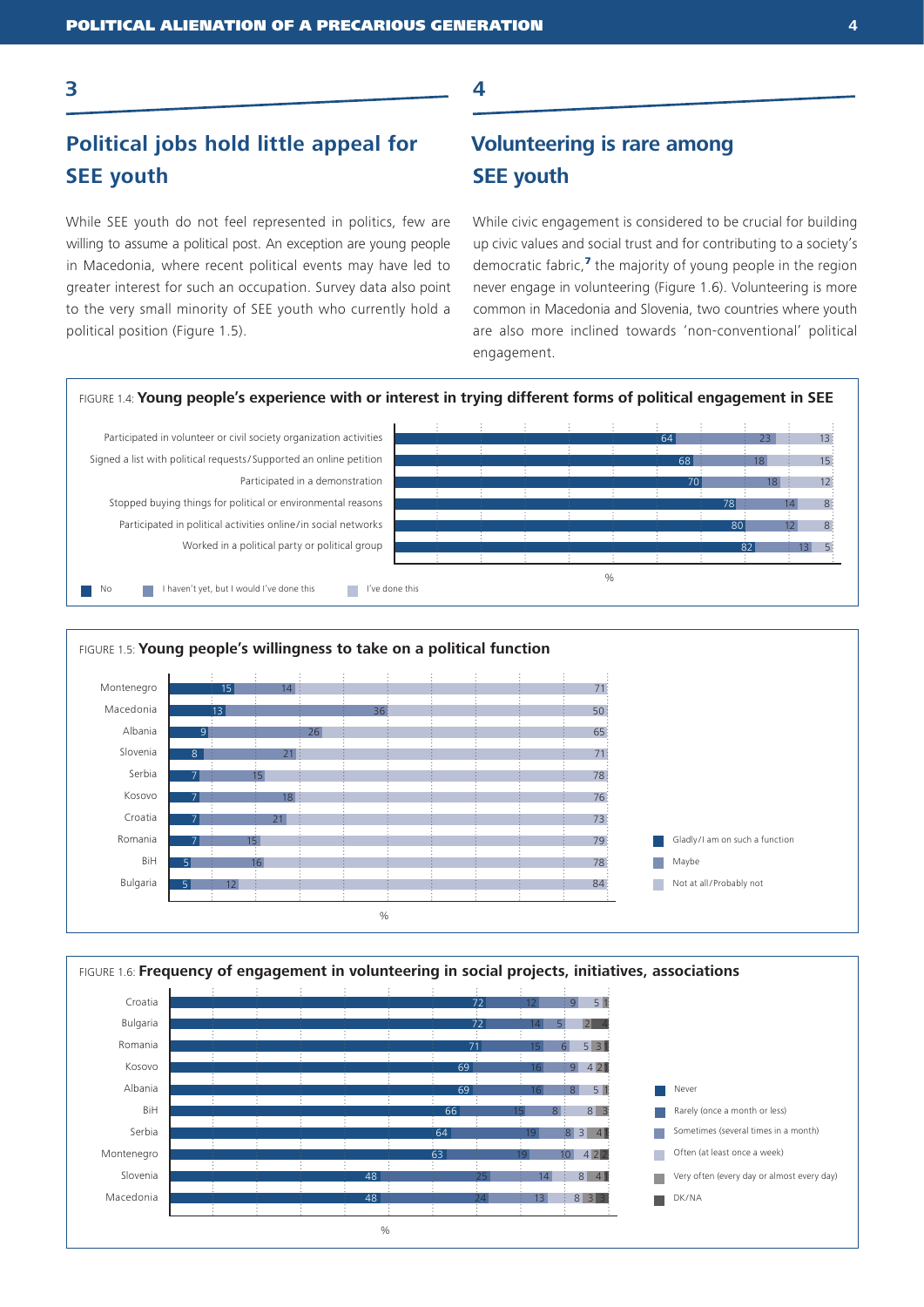**3**

## **Political jobs hold little appeal for SEE youth**

While SEE youth do not feel represented in politics, few are willing to assume a political post. An exception are young people in Macedonia, where recent political events may have led to greater interest for such an occupation. Survey data also point to the very small minority of SEE youth who currently hold a political position (Figure 1.5).

## **Volunteering is rare among SEE youth**

While civic engagement is considered to be crucial for building up civic values and social trust and for contributing to a society's democratic fabric.<sup>7</sup> the majority of young people in the region never engage in volunteering (Figure 1.6). Volunteering is more common in Macedonia and Slovenia, two countries where youth are also more inclined towards 'non-conventional' political engagement.



**4**



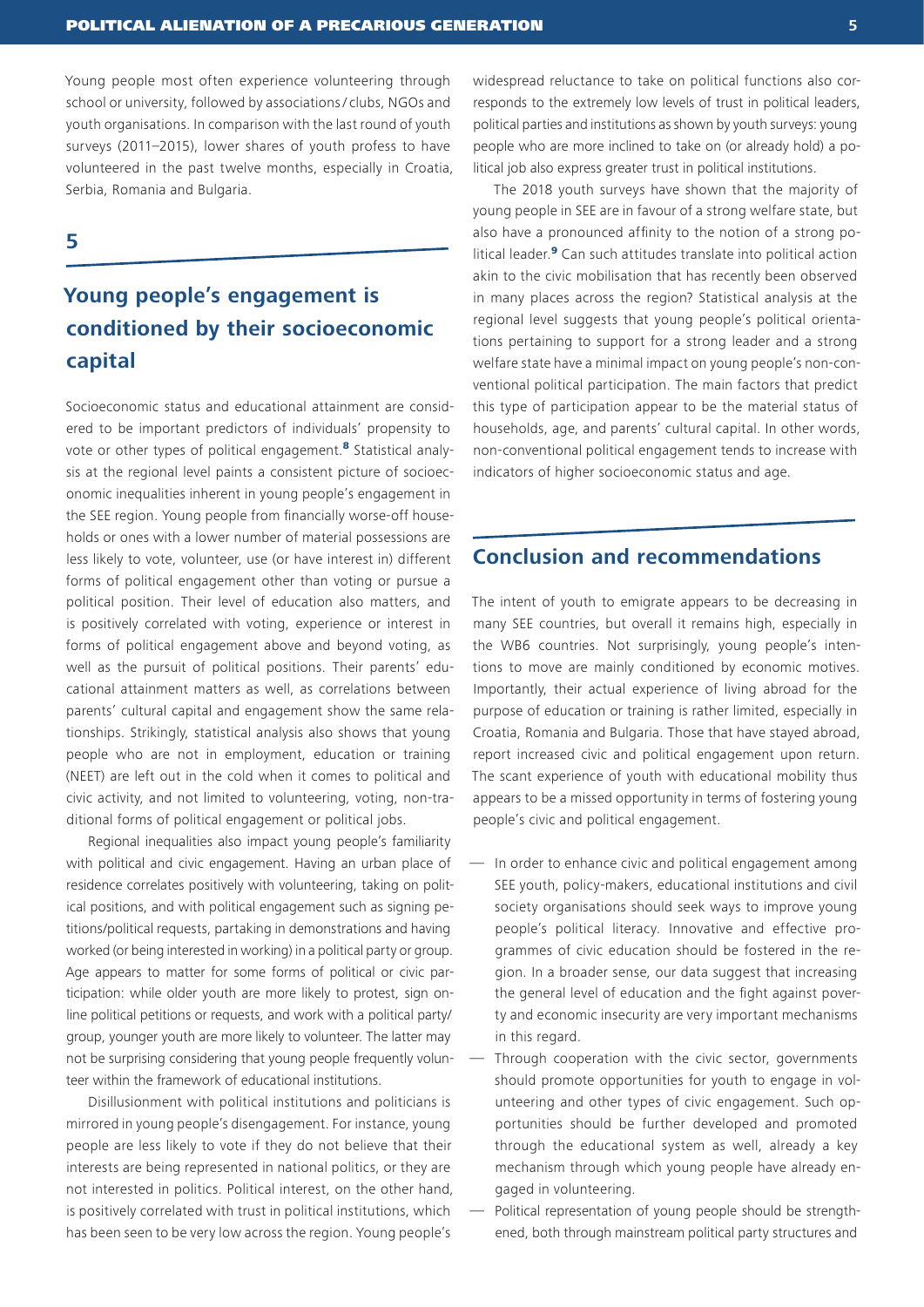Young people most often experience volunteering through school or university, followed by associations/ clubs, NGOs and youth organisations. In comparison with the last round of youth surveys (2011–2015), lower shares of youth profess to have volunteered in the past twelve months, especially in Croatia, Serbia, Romania and Bulgaria.

## **5**

## **Young people's engagement is conditioned by their socioeconomic capital**

Socioeconomic status and educational attainment are considered to be important predictors of individuals' propensity to vote or other types of political engagement.<sup>8</sup> Statistical analysis at the regional level paints a consistent picture of socioeconomic inequalities inherent in young people's engagement in the SEE region. Young people from financially worse-off households or ones with a lower number of material possessions are less likely to vote, volunteer, use (or have interest in) different forms of political engagement other than voting or pursue a political position. Their level of education also matters, and is positively correlated with voting, experience or interest in forms of political engagement above and beyond voting, as well as the pursuit of political positions. Their parents' educational attainment matters as well, as correlations between parents' cultural capital and engagement show the same relationships. Strikingly, statistical analysis also shows that young people who are not in employment, education or training (NEET) are left out in the cold when it comes to political and civic activity, and not limited to volunteering, voting, non-traditional forms of political engagement or political jobs.

Regional inequalities also impact young people's familiarity with political and civic engagement. Having an urban place of residence correlates positively with volunteering, taking on political positions, and with political engagement such as signing petitions/political requests, partaking in demonstrations and having worked (or being interested in working) in a political party or group. Age appears to matter for some forms of political or civic participation: while older youth are more likely to protest, sign online political petitions or requests, and work with a political party/ group, younger youth are more likely to volunteer. The latter may not be surprising considering that young people frequently volunteer within the framework of educational institutions.

Disillusionment with political institutions and politicians is mirrored in young people's disengagement. For instance, young people are less likely to vote if they do not believe that their interests are being represented in national politics, or they are not interested in politics. Political interest, on the other hand, is positively correlated with trust in political institutions, which has been seen to be very low across the region. Young people's

widespread reluctance to take on political functions also corresponds to the extremely low levels of trust in political leaders, political parties and institutions as shown by youth surveys: young people who are more inclined to take on (or already hold) a political job also express greater trust in political institutions.

The 2018 youth surveys have shown that the majority of young people in SEE are in favour of a strong welfare state, but also have a pronounced affinity to the notion of a strong political leader.<sup>9</sup> Can such attitudes translate into political action akin to the civic mobilisation that has recently been observed in many places across the region? Statistical analysis at the regional level suggests that young people's political orientations pertaining to support for a strong leader and a strong welfare state have a minimal impact on young people's non-conventional political participation. The main factors that predict this type of participation appear to be the material status of households, age, and parents' cultural capital. In other words, non-conventional political engagement tends to increase with indicators of higher socioeconomic status and age.

## **Conclusion and recommendations**

The intent of youth to emigrate appears to be decreasing in many SEE countries, but overall it remains high, especially in the WB6 countries. Not surprisingly, young people's intentions to move are mainly conditioned by economic motives. Importantly, their actual experience of living abroad for the purpose of education or training is rather limited, especially in Croatia, Romania and Bulgaria. Those that have stayed abroad, report increased civic and political engagement upon return. The scant experience of youth with educational mobility thus appears to be a missed opportunity in terms of fostering young people's civic and political engagement.

- In order to enhance civic and political engagement among SEE youth, policy-makers, educational institutions and civil society organisations should seek ways to improve young people's political literacy. Innovative and effective programmes of civic education should be fostered in the region. In a broader sense, our data suggest that increasing the general level of education and the fight against poverty and economic insecurity are very important mechanisms in this regard.
- Through cooperation with the civic sector, governments should promote opportunities for youth to engage in volunteering and other types of civic engagement. Such opportunities should be further developed and promoted through the educational system as well, already a key mechanism through which young people have already engaged in volunteering.
- Political representation of young people should be strengthened, both through mainstream political party structures and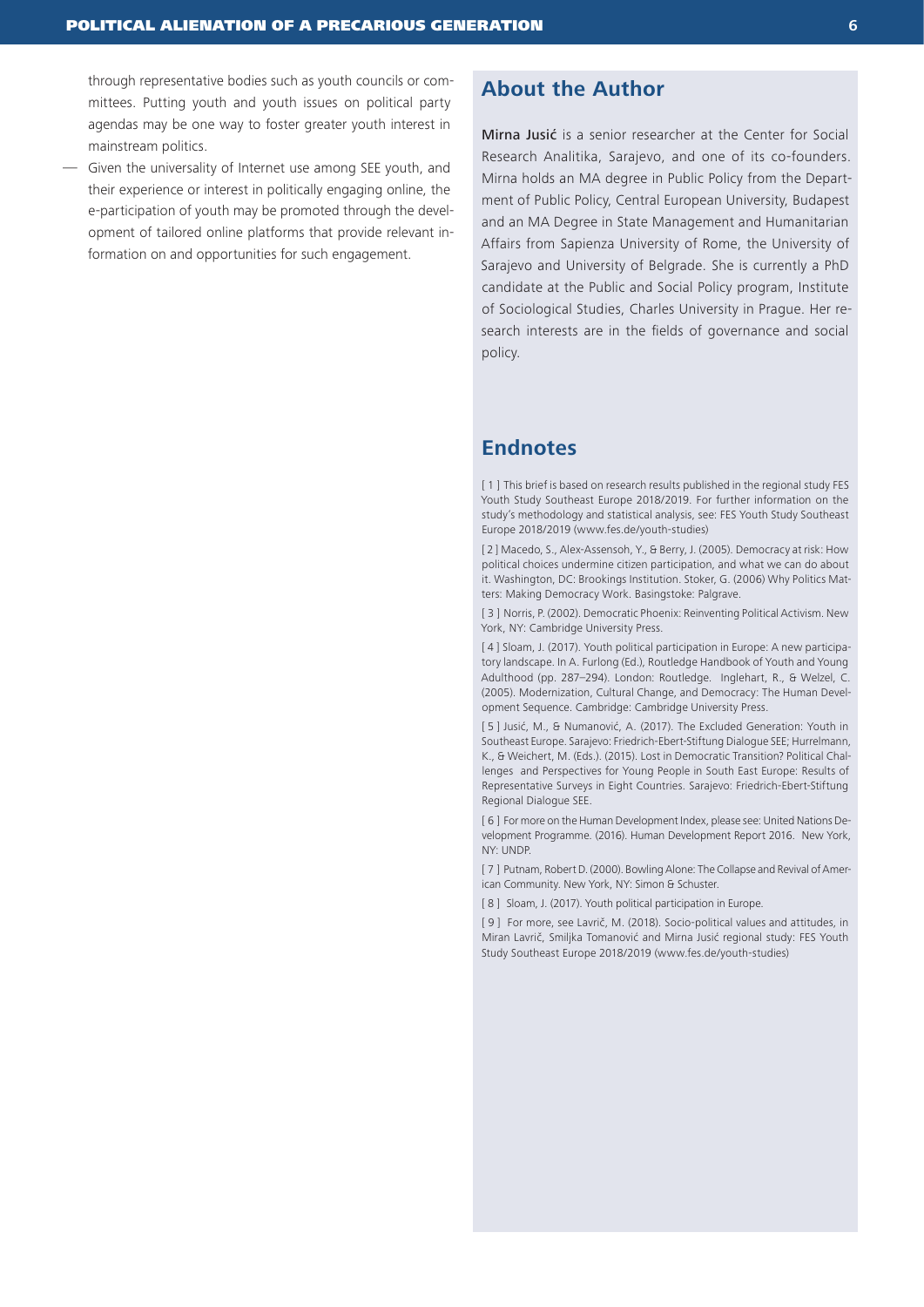through representative bodies such as youth councils or committees. Putting youth and youth issues on political party agendas may be one way to foster greater youth interest in mainstream politics.

— Given the universality of Internet use among SEE youth, and their experience or interest in politically engaging online, the e-participation of youth may be promoted through the development of tailored online platforms that provide relevant information on and opportunities for such engagement.

## **About the Author**

Mirna Jusić is a senior researcher at the Center for Social Research Analitika, Sarajevo, and one of its co-founders. Mirna holds an MA degree in Public Policy from the Department of Public Policy, Central European University, Budapest and an MA Degree in State Management and Humanitarian Affairs from Sapienza University of Rome, the University of Sarajevo and University of Belgrade. She is currently a PhD candidate at the Public and Social Policy program, Institute of Sociological Studies, Charles University in Prague. Her research interests are in the fields of governance and social policy.

## **Endnotes**

[ 1 ] This brief is based on research results published in the regional study FES Youth Study Southeast Europe 2018/2019. For further information on the study's methodology and statistical analysis, see: FES Youth Study Southeast Europe 2018/2019 (www.fes.de/youth-studies)

[2] Macedo, S., Alex-Assensoh, Y., & Berry, J. (2005). Democracy at risk: How political choices undermine citizen participation, and what we can do about it. Washington, DC: Brookings Institution. Stoker, G. (2006) Why Politics Matters: Making Democracy Work. Basingstoke: Palgrave.

[ 3 ] Norris, P. (2002). Democratic Phoenix: Reinventing Political Activism. New York, NY: Cambridge University Press.

[ 4 ] Sloam, J. (2017). Youth political participation in Europe: A new participatory landscape. In A. Furlong (Ed.), Routledge Handbook of Youth and Young Adulthood (pp. 287–294). London: Routledge. Inglehart, R., & Welzel, C. (2005). Modernization, Cultural Change, and Democracy: The Human Development Sequence. Cambridge: Cambridge University Press.

[ 5 ] Jusić, M., & Numanović, A. (2017). The Excluded Generation: Youth in Southeast Europe. Sarajevo: Friedrich-Ebert-Stiftung Dialogue SEE; Hurrelmann, K., & Weichert, M. (Eds.). (2015). Lost in Democratic Transition? Political Challenges and Perspectives for Young People in South East Europe: Results of Representative Surveys in Eight Countries. Sarajevo: Friedrich-Ebert-Stiftung Regional Dialogue SEE.

[6] For more on the Human Development Index, please see: United Nations Development Programme. (2016). Human Development Report 2016. New York, NY: UNDP.

[ 7 ] Putnam, Robert D. (2000). Bowling Alone: The Collapse and Revival of American Community. New York, NY: Simon & Schuster.

[ 8 ] Sloam, J. (2017). Youth political participation in Europe.

[ 9 ] For more, see Lavrič, M. (2018). Socio-political values and attitudes, in Miran Lavrič, Smiljka Tomanović and Mirna Jusić regional study: FES Youth Study Southeast Europe 2018/2019 (www.fes.de/youth-studies)